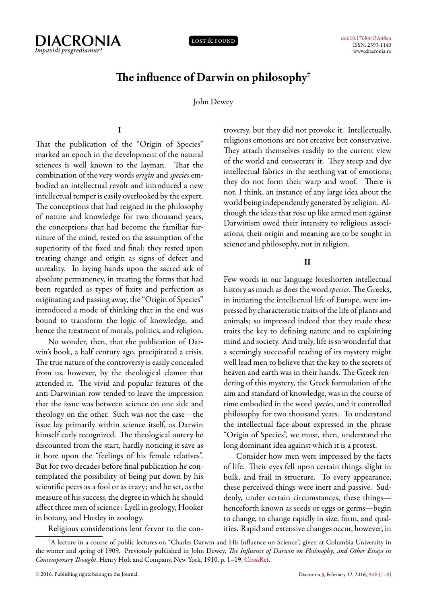

lost & found

# **The influence of Darwin on philosophy†**

John Dewey

# **I**

<span id="page-0-0"></span>That the publication of the "Origin of Species" marked an epoch in the development of the natural sciences is well known to the layman. That the combination of the very words *origin* and *species* embodied an intellectual revolt and introduced a new intellectual temper is easily overlooked by the expert. The conceptions that had reigned in the philosophy of nature and knowledge for two thousand years, the conceptions that had become the familiar furniture of the mind, rested on the assumption of the superiority of the fixed and final; they rested upon treating change and origin as signs of defect and unreality. In laying hands upon the sacred ark of absolute permanency, in treating the forms that had been regarded as types of fixity and perfection as originating and passing away, the "Origin of Species" introduced a mode of thinking that in the end was bound to transform the logic of knowledge, and hence the treatment of morals, politics, and religion.

No wonder, then, that the publication of Darwin's book, a half century ago, precipitated a crisis. The true nature of the controversy is easily concealed from us, however, by the theological clamor that attended it. The vivid and popular features of the anti-Darwinian row tended to leave the impression that the issue was between science on one side and theology on the other. Such was not the case—the issue lay primarily within science itself, as Darwin himself early recognized. The theological outcry he discounted from the start, hardly noticing it save as it bore upon the "feelings of his female relatives". But for two decades before final publication he contemplated the possibility of being put down by his scientific peers as a fool or as crazy; and he set, as the measure of his success, the degree in which he should affect three men of science: Lyell in geology, Hooker in botany, and Huxley in zoology.

Religious considerations lent fervor to the con-

troversy, but they did not provoke it. Intellectually, religious emotions are not creative but conservative. They attach themselves readily to the current view of the world and consecrate it. They steep and dye intellectual fabrics in the seething vat of emotions; they do not form their warp and woof. There is not, I think, an instance of any large idea about the world being independently generated by religion. Although the ideas that rose up like armed men against Darwinism owed their intensity to religious associations, their origin and meaning are to be sought in science and philosophy, not in religion.

## **II**

Few words in our language foreshorten intellectual history as much as does the word *species*. The Greeks, in initiating the intellectual life of Europe, were impressed by characteristic traits of the life of plants and animals; so impressed indeed that they made these traits the key to defining nature and to explaining mind and society. And truly, life is so wonderful that a seemingly successful reading of its mystery might well lead men to believe that the key to the secrets of heaven and earth was in their hands. The Greek rendering of this mystery, the Greek formulation of the aim and standard of knowledge, was in the course of time embodied in the word *species*, and it controlled philosophy for two thousand years. To understand the intellectual face-about expressed in the phrase "Origin of Species", we must, then, understand the long dominant idea against which it is a protest.

Consider how men were impressed by the facts of life. Their eyes fell upon certain things slight in bulk, and frail in structure. To every appearance, these perceived things were inert and passive. Suddenly, under certain circumstances, these things henceforth known as seeds or eggs or germs—begin to change, to change rapidly in size, form, and qualities. Rapid and extensive changes occur, however, in

<sup>†</sup>A lecture in a course of public lectures on "Charles Darwin and His Influence on Science", given at Columbia University in the winter and spring of 1909. Previously published in John Dewey, *The Influence of Darwin on Philosophy, and Other Essays in Contemporary Thought*, Henry Holt and Company, New York, 1910, p. 1–19, [CrossRef.](http://dx.doi.org/10.5962/bhl.title.17966)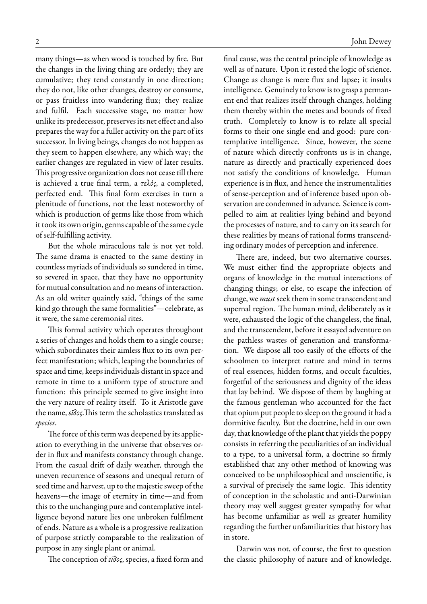many things—as when wood is touched by fire. But the changes in the living thing are orderly; they are cumulative; they tend constantly in one direction; they do not, like other changes, destroy or consume, or pass fruitless into wandering flux; they realize and fulfil. Each successive stage, no matter how unlike its predecessor, preserves its net effect and also prepares the way for a fuller activity on the part of its successor. In living beings, changes do not happen as they seem to happen elsewhere, any which way; the earlier changes are regulated in view of later results. This progressive organization does not cease till there is achieved a true final term, a *τελὸς*, a completed, perfected end. This final form exercises in turn a plenitude of functions, not the least noteworthy of which is production of germs like those from which it took its own origin, germs capable of the same cycle of self-fulfilling activity.

But the whole miraculous tale is not yet told. The same drama is enacted to the same destiny in countless myriads of individuals so sundered in time, so severed in space, that they have no opportunity for mutual consultation and no means of interaction. As an old writer quaintly said, "things of the same kind go through the same formalities"—celebrate, as it were, the same ceremonial rites.

This formal activity which operates throughout a series of changes and holds them to a single course; which subordinates their aimless flux to its own perfect manifestation; which, leaping the boundaries of space and time, keeps individuals distant in space and remote in time to a uniform type of structure and function: this principle seemed to give insight into the very nature of reality itself. To it Aristotle gave the name, *εῖδος*.This term the scholastics translated as *species*.

The force of this term was deepened by its application to everything in the universe that observes order in flux and manifests constancy through change. From the casual drift of daily weather, through the uneven recurrence of seasons and unequal return of seed time and harvest, up to the majestic sweep of the heavens—the image of eternity in time—and from this to the unchanging pure and contemplative intelligence beyond nature lies one unbroken fulfilment of ends. Nature as a whole is a progressive realization of purpose strictly comparable to the realization of purpose in any single plant or animal.

The conception of *εῖδος*, species, a fixed form and

final cause, was the central principle of knowledge as well as of nature. Upon it rested the logic of science. Change as change is mere flux and lapse; it insults intelligence. Genuinely to know is to grasp a permanent end that realizes itself through changes, holding them thereby within the metes and bounds of fixed truth. Completely to know is to relate all special forms to their one single end and good: pure contemplative intelligence. Since, however, the scene of nature which directly confronts us is in change, nature as directly and practically experienced does not satisfy the conditions of knowledge. Human experience is in flux, and hence the instrumentalities of sense-perception and of inference based upon observation are condemned in advance. Science is compelled to aim at realities lying behind and beyond the processes of nature, and to carry on its search for these realities by means of rational forms transcending ordinary modes of perception and inference.

There are, indeed, but two alternative courses. We must either find the appropriate objects and organs of knowledge in the mutual interactions of changing things; or else, to escape the infection of change, we *must* seek them in some transcendent and supernal region. The human mind, deliberately as it were, exhausted the logic of the changeless, the final, and the transcendent, before it essayed adventure on the pathless wastes of generation and transformation. We dispose all too easily of the efforts of the schoolmen to interpret nature and mind in terms of real essences, hidden forms, and occult faculties, forgetful of the seriousness and dignity of the ideas that lay behind. We dispose of them by laughing at the famous gentleman who accounted for the fact that opium put people to sleep on the ground it had a dormitive faculty. But the doctrine, held in our own day, that knowledge of the plant that yields the poppy consists in referring the peculiarities of an individual to a type, to a universal form, a doctrine so firmly established that any other method of knowing was conceived to be unphilosophical and unscientific, is a survival of precisely the same logic. This identity of conception in the scholastic and anti-Darwinian theory may well suggest greater sympathy for what has become unfamiliar as well as greater humility regarding the further unfamiliarities that history has in store.

Darwin was not, of course, the first to question the classic philosophy of nature and of knowledge.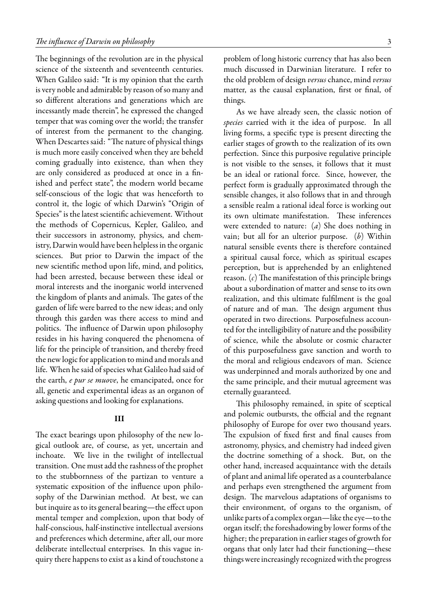The beginnings of the revolution are in the physical science of the sixteenth and seventeenth centuries. When Galileo said: "It is my opinion that the earth is very noble and admirable by reason of so many and so different alterations and generations which are incessantly made therein", he expressed the changed temper that was coming over the world; the transfer of interest from the permanent to the changing. When Descartes said: "The nature of physical things is much more easily conceived when they are beheld coming gradually into existence, than when they are only considered as produced at once in a finished and perfect state", the modern world became self-conscious of the logic that was henceforth to control it, the logic of which Darwin's "Origin of Species" is the latest scientific achievement. Without the methods of Copernicus, Kepler, Galileo, and their successors in astronomy, physics, and chemistry, Darwin would have been helpless in the organic sciences. But prior to Darwin the impact of the new scientific method upon life, mind, and politics, had been arrested, because between these ideal or moral interests and the inorganic world intervened the kingdom of plants and animals. The gates of the garden of life were barred to the new ideas; and only through this garden was there access to mind and politics. The influence of Darwin upon philosophy resides in his having conquered the phenomena of life for the principle of transition, and thereby freed the new logic for application to mind and morals and life. When he said of species what Galileo had said of the earth, *e pur se muove*, he emancipated, once for all, genetic and experimental ideas as an organon of asking questions and looking for explanations.

### **III**

The exact bearings upon philosophy of the new logical outlook are, of course, as yet, uncertain and inchoate. We live in the twilight of intellectual transition. One must add the rashness of the prophet to the stubbornness of the partizan to venture a systematic exposition of the influence upon philosophy of the Darwinian method. At best, we can but inquire as to its general bearing—the effect upon mental temper and complexion, upon that body of half-conscious, half-instinctive intellectual aversions and preferences which determine, after all, our more deliberate intellectual enterprises. In this vague inquiry there happens to exist as a kind of touchstone a

problem of long historic currency that has also been much discussed in Darwinian literature. I refer to the old problem of design *versus*chance, mind *versus* matter, as the causal explanation, first or final, of things.

As we have already seen, the classic notion of *species* carried with it the idea of purpose. In all living forms, a specific type is present directing the earlier stages of growth to the realization of its own perfection. Since this purposive regulative principle is not visible to the senses, it follows that it must be an ideal or rational force. Since, however, the perfect form is gradually approximated through the sensible changes, it also follows that in and through a sensible realm a rational ideal force is working out its own ultimate manifestation. These inferences were extended to nature: (*a*) She does nothing in vain; but all for an ulterior purpose. (*b*) Within natural sensible events there is therefore contained a spiritual causal force, which as spiritual escapes perception, but is apprehended by an enlightened reason. (*c*) The manifestation of this principle brings about a subordination of matter and sense to its own realization, and this ultimate fulfilment is the goal of nature and of man. The design argument thus operated in two directions. Purposefulness accounted for the intelligibility of nature and the possibility of science, while the absolute or cosmic character of this purposefulness gave sanction and worth to the moral and religious endeavors of man. Science was underpinned and morals authorized by one and the same principle, and their mutual agreement was eternally guaranteed.

This philosophy remained, in spite of sceptical and polemic outbursts, the official and the regnant philosophy of Europe for over two thousand years. The expulsion of fixed first and final causes from astronomy, physics, and chemistry had indeed given the doctrine something of a shock. But, on the other hand, increased acquaintance with the details of plant and animal life operated as a counterbalance and perhaps even strengthened the argument from design. The marvelous adaptations of organisms to their environment, of organs to the organism, of unlike parts of a complex organ—like the eye—to the organ itself; the foreshadowing by lower forms of the higher; the preparation in earlier stages of growth for organs that only later had their functioning—these things were increasingly recognized with the progress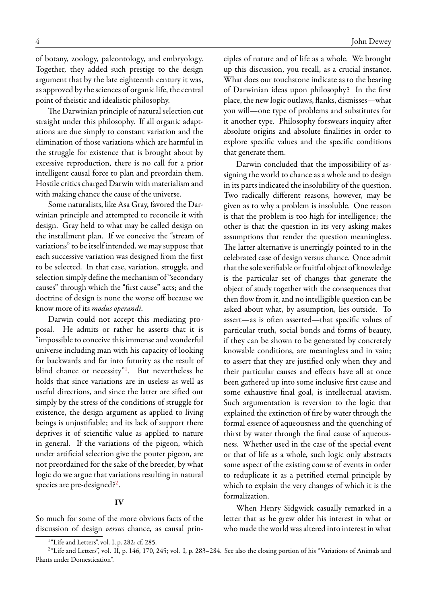of botany, zoology, paleontology, and embryology. Together, they added such prestige to the design argument that by the late eighteenth century it was, as approved by the sciences of organic life, the central point of theistic and idealistic philosophy.

The Darwinian principle of natural selection cut straight under this philosophy. If all organic adaptations are due simply to constant variation and the elimination of those variations which are harmful in the struggle for existence that is brought about by excessive reproduction, there is no call for a prior intelligent causal force to plan and preordain them. Hostile critics charged Darwin with materialism and with making chance the cause of the universe.

Some naturalists, like Asa Gray, favored the Darwinian principle and attempted to reconcile it with design. Gray held to what may be called design on the installment plan. If we conceive the "stream of variations" to be itself intended, we may suppose that each successive variation was designed from the first to be selected. In that case, variation, struggle, and selection simply define the mechanism of "secondary causes" through which the "first cause" acts; and the doctrine of design is none the worse off because we know more of its *modus operandi*.

Darwin could not accept this mediating proposal. He admits or rather he asserts that it is "impossible to conceive this immense and wonderful universe including man with his capacity of looking far backwards and far into futurity as the result of blind chance or necessity"<sup>[1](#page-3-0)</sup>. But nevertheless he holds that since variations are in useless as well as useful directions, and since the latter are sifted out simply by the stress of the conditions of struggle for existence, the design argument as applied to living beings is unjustifiable; and its lack of support there deprives it of scientific value as applied to nature in general. If the variations of the pigeon, which under artificial selection give the pouter pigeon, are not preordained for the sake of the breeder, by what logic do we argue that variations resulting in natural species are pre-designed?<sup>[2](#page-3-1)</sup>.

### **IV**

So much for some of the more obvious facts of the discussion of design *versus* chance, as causal prin-

Darwin concluded that the impossibility of assigning the world to chance as a whole and to design in its parts indicated the insolubility of the question. Two radically different reasons, however, may be given as to why a problem is insoluble. One reason is that the problem is too high for intelligence; the other is that the question in its very asking makes assumptions that render the question meaningless. The latter alternative is unerringly pointed to in the celebrated case of design versus chance. Once admit that the sole verifiable or fruitful object of knowledge is the particular set of changes that generate the object of study together with the consequences that then flow from it, and no intelligible question can be asked about what, by assumption, lies outside. To assert—as is often asserted—that specific values of particular truth, social bonds and forms of beauty, if they can be shown to be generated by concretely knowable conditions, are meaningless and in vain; to assert that they are justified only when they and their particular causes and effects have all at once been gathered up into some inclusive first cause and some exhaustive final goal, is intellectual atavism. Such argumentation is reversion to the logic that explained the extinction of fire by water through the formal essence of aqueousness and the quenching of thirst by water through the final cause of aqueousness. Whether used in the case of the special event or that of life as a whole, such logic only abstracts some aspect of the existing course of events in order to reduplicate it as a petrified eternal principle by which to explain the very changes of which it is the formalization.

When Henry Sidgwick casually remarked in a letter that as he grew older his interest in what or who made the world was altered into interest in what

ciples of nature and of life as a whole. We brought up this discussion, you recall, as a crucial instance. What does our touchstone indicate as to the bearing of Darwinian ideas upon philosophy? In the first place, the new logic outlaws, flanks, dismisses—what you will—one type of problems and substitutes for it another type. Philosophy forswears inquiry after absolute origins and absolute finalities in order to explore specific values and the specific conditions that generate them.

<span id="page-3-1"></span><span id="page-3-0"></span><sup>&</sup>lt;sup>1</sup>"Life and Letters", vol. I, p. 282; cf. 285.

 $^{2}$ "Life and Letters", vol. II, p. 146, 170, 245; vol. I, p. 283–284. See also the closing portion of his "Variations of Animals and Plants under Domestication".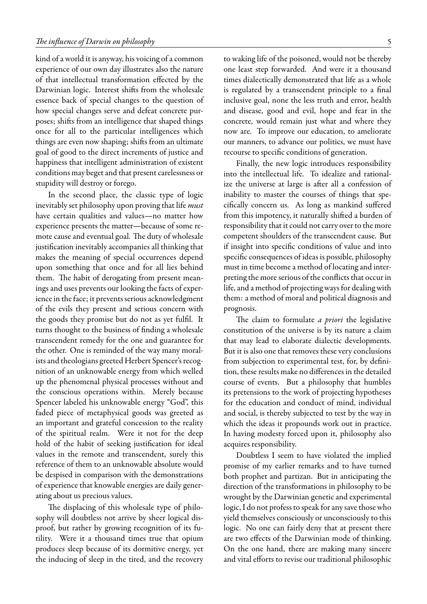kind of a world it is anyway, his voicing of a common experience of our own day illustrates also the nature of that intellectual transformation effected by the Darwinian logic. Interest shifts from the wholesale essence back of special changes to the question of how special changes serve and defeat concrete purposes; shifts from an intelligence that shaped things once for all to the particular intelligences which things are even now shaping; shifts from an ultimate goal of good to the direct increments of justice and happiness that intelligent administration of existent conditions may beget and that present carelessness or stupidity will destroy or forego.

In the second place, the classic type of logic inevitably set philosophy upon proving that life *must* have certain qualities and values—no matter how experience presents the matter—because of some remote cause and eventual goal. The duty of wholesale justification inevitably accompanies all thinking that makes the meaning of special occurrences depend upon something that once and for all lies behind them. The habit of derogating from present meanings and uses prevents our looking the facts of experience in the face; it prevents serious acknowledgment of the evils they present and serious concern with the goods they promise but do not as yet fulfil. It turns thought to the business of finding a wholesale transcendent remedy for the one and guarantee for the other. One is reminded of the way many moralists and theologians greeted Herbert Spencer's recognition of an unknowable energy from which welled up the phenomenal physical processes without and the conscious operations within. Merely because Spencer labeled his unknowable energy "God", this faded piece of metaphysical goods was greeted as an important and grateful concession to the reality of the spiritual realm. Were it not for the deep hold of the habit of seeking justification for ideal values in the remote and transcendent, surely this reference of them to an unknowable absolute would be despised in comparison with the demonstrations of experience that knowable energies are daily generating about us precious values.

The displacing of this wholesale type of philosophy will doubtless not arrive by sheer logical disproof, but rather by growing recognition of its futility. Were it a thousand times true that opium produces sleep because of its dormitive energy, yet the inducing of sleep in the tired, and the recovery to waking life of the poisoned, would not be thereby one least step forwarded. And were it a thousand times dialectically demonstrated that life as a whole is regulated by a transcendent principle to a final inclusive goal, none the less truth and error, health and disease, good and evil, hope and fear in the concrete, would remain just what and where they now are. To improve our education, to ameliorate our manners, to advance our politics, we must have recourse to specific conditions of generation.

Finally, the new logic introduces responsibility into the intellectual life. To idealize and rationalize the universe at large is after all a confession of inability to master the courses of things that specifically concern us. As long as mankind suffered from this impotency, it naturally shifted a burden of responsibility that it could not carry over to the more competent shoulders of the transcendent cause. But if insight into specific conditions of value and into specific consequences of ideas is possible, philosophy must in time become a method of locating and interpreting the more serious of the conflicts that occur in life, and a method of projecting ways for dealing with them: a method of moral and political diagnosis and prognosis.

The claim to formulate *a priori* the legislative constitution of the universe is by its nature a claim that may lead to elaborate dialectic developments. But it is also one that removes these very conclusions from subjection to experimental test, for, by definition, these results make no differences in the detailed course of events. But a philosophy that humbles its pretensions to the work of projecting hypotheses for the education and conduct of mind, individual and social, is thereby subjected to test by the way in which the ideas it propounds work out in practice. In having modesty forced upon it, philosophy also acquires responsibility.

Doubtless I seem to have violated the implied promise of my earlier remarks and to have turned both prophet and partizan. But in anticipating the direction of the transformations in philosophy to be wrought by the Darwinian genetic and experimental logic, I do not profess to speak for any save those who yield themselves consciously or unconsciously to this logic. No one can fairly deny that at present there are two effects of the Darwinian mode of thinking. On the one hand, there are making many sincere and vital efforts to revise our traditional philosophic